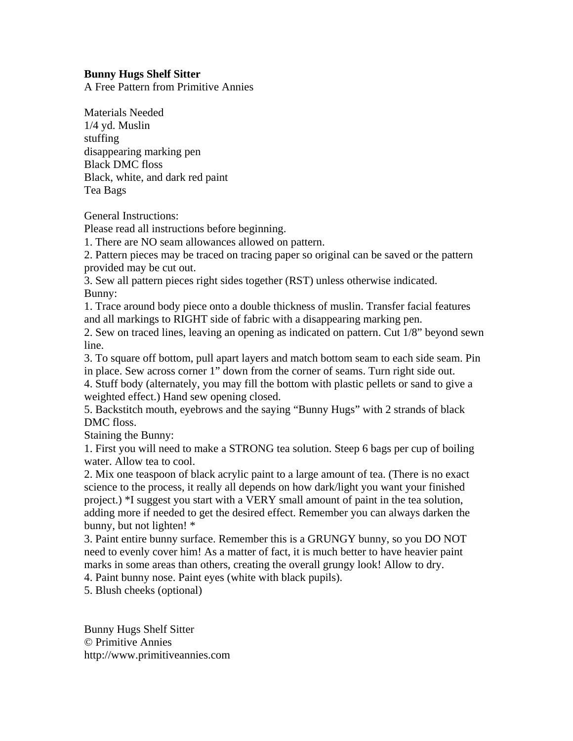## **Bunny Hugs Shelf Sitter**

A Free Pattern from Primitive Annies

Materials Needed 1/4 yd. Muslin stuffing disappearing marking pen Black DMC floss Black, white, and dark red paint Tea Bags

General Instructions:

Please read all instructions before beginning.

1. There are NO seam allowances allowed on pattern.

2. Pattern pieces may be traced on tracing paper so original can be saved or the pattern provided may be cut out.

3. Sew all pattern pieces right sides together (RST) unless otherwise indicated. Bunny:

1. Trace around body piece onto a double thickness of muslin. Transfer facial features and all markings to RIGHT side of fabric with a disappearing marking pen.

2. Sew on traced lines, leaving an opening as indicated on pattern. Cut 1/8" beyond sewn line.

3. To square off bottom, pull apart layers and match bottom seam to each side seam. Pin in place. Sew across corner 1" down from the corner of seams. Turn right side out.

4. Stuff body (alternately, you may fill the bottom with plastic pellets or sand to give a weighted effect.) Hand sew opening closed.

5. Backstitch mouth, eyebrows and the saying "Bunny Hugs" with 2 strands of black DMC floss.

Staining the Bunny:

1. First you will need to make a STRONG tea solution. Steep 6 bags per cup of boiling water. Allow tea to cool.

2. Mix one teaspoon of black acrylic paint to a large amount of tea. (There is no exact science to the process, it really all depends on how dark/light you want your finished project.) \*I suggest you start with a VERY small amount of paint in the tea solution, adding more if needed to get the desired effect. Remember you can always darken the bunny, but not lighten! \*

3. Paint entire bunny surface. Remember this is a GRUNGY bunny, so you DO NOT need to evenly cover him! As a matter of fact, it is much better to have heavier paint marks in some areas than others, creating the overall grungy look! Allow to dry.

4. Paint bunny nose. Paint eyes (white with black pupils).

5. Blush cheeks (optional)

Bunny Hugs Shelf Sitter © Primitive Annies http://www.primitiveannies.com